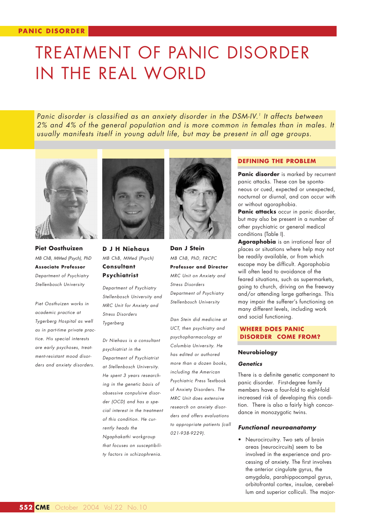# TREATMENT OF PANIC DISORDER IN THE REAL WORLD

*Panic disorder is classified as an anxiety disorder in the DSM-IV.1 It affects between 2% and 4% of the general population and is more common in females than in males. It usually manifests itself in young adult life, but may be present in all age groups.*



**Piet Oosthuizen** *MB ChB, MMed (Psych), PhD* **Associate Professor**  *Department of Psychiatry Stellenbosch University*

*Piet Oosthuizen works in academic practice at Tygerberg Hospital as well as in part-time private practice. His special interests are early psychoses, treatment-resistant mood disorders and anxiety disorders.*



**D J H Niehaus** *MB ChB, MMed (Psych)* **Consultant Psychiatrist**

*Department of Psychiatry Stellenbosch University and MRC Unit for Anxiety and Stress Disorders Tygerberg*

*Dr Niehaus is a consultant psychiatrist in the Department of Psychiatrist at Stellenbosch University. He spent 3 years researching in the genetic basis of obsessive conpulsive disorder (OCD) and has a special interest in the treatment of this condition. He currently heads the Ngaphakathi workgroup that focuses on susceptibility factors in schizophrenia.*



**Dan J Stein** *MB ChB, PhD, FRCPC* **Professor and Director** *MRC Unit on Anxiety and Stress Disorders Department of Psychiatry Stellenbosch University*

*Dan Stein did medicine at UCT, then psychiatry and psychopharmacology at Columbia University. He has edited or authored more than a dozen books, including the American Psychiatric Press* Textbook of Anxiety Disorders*. The MRC Unit does extensive research on anxiety disorders and offers evaluations to appropriate patients (call 021-938-9229).*

#### **DEFINING THE PROBLEM**

Panic disorder is marked by recurrent panic attacks. These can be spontaneous or cued, expected or unexpected, nocturnal or diurnal, and can occur with or without agoraphobia.

**Panic attacks** occur in panic disorder, but may also be present in a number of other psychiatric or general medical conditions (Table I).

**Agoraphobia** is an irrational fear of places or situations where help may not be readily available, or from which escape may be difficult. Agoraphobia will often lead to avoidance of the feared situations, such as supermarkets, going to church, driving on the freeway and/or attending large gatherings. This may impair the sufferer's functioning on many different levels, including work and social functioning.

## **WHERE DOES PANIC DISORDER COME FROM?**

#### **Neurobiology**

#### *Genetics*

There is a definite genetic component to panic disorder. First-degree family members have a four-fold to eight-fold increased risk of developing this condition. There is also a fairly high concordance in monozygotic twins.

#### *Functional neuroanatomy*

• Neurocircuitry. Two sets of brain areas (neurocircuits) seem to be involved in the experience and processing of anxiety. The first involves the anterior cingulate gyrus, the amygdala, parahippocampal gyrus, orbitofrontal cortex, insulae, cerebellum and superior colliculi. The major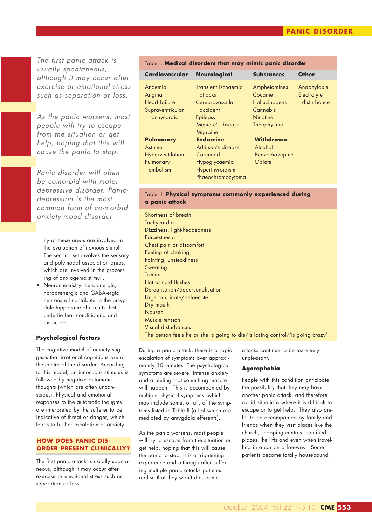*The first panic attack is usually spontaneous, although it may occur after exercise or emotional stress such as separation or loss.*

*As the panic worsens, most people will try to escape from the situation or get help, hoping that this will cause the panic to stop.*

*Panic disorder will often be comorbid with major depressive disorder. Panicdepression is the most common form of co-morbid anxiety-mood disorder.*

ity of these areas are involved in the evaluation of noxious stimuli. The second set involves the sensory and polymodal association areas, which are involved in the processing of anxiogenic stimuli.

• Neurochemistry. Serotonergic, noradrenergic and GABA-ergic neurons all contribute to the amygdala-hippocampal circuits that underlie fear conditioning and extinction.

## **Psychological factors**

The cognitive model of anxiety suggests that irrational cognitions are at the centre of the disorder. According to this model, an innocuous stimulus is followed by negative automatic thoughts (which are often unconscious). Physical and emotional responses to the automatic thoughts are interpreted by the sufferer to be indicative of threat or danger, which leads to further escalation of anxiety.

#### **HOW DOES PANIC DIS-ORDER PRESENT CLINICALLY?**

The first panic attack is usually spontaneous, although it may occur after exercise or emotional stress such as separation or loss.

## Table I. **Medical disorders that may mimic panic disorder**

| Cardiovascular Neurological       |                                  | <b>Substances</b>         | Other                      |
|-----------------------------------|----------------------------------|---------------------------|----------------------------|
| Anaemia<br>Angina                 | Transient ischaemic<br>attacks   | Amphetamines<br>Cocaine   | Anaphylaxis<br>Electrolyte |
| Heart failure<br>Supraventricular | Cerebrovascular<br>accident      | Hallucinogens<br>Cannabis | disturbance                |
| tachycardia                       | Epilepsy                         | <b>Nicotine</b>           |                            |
|                                   | Ménière's disease<br>Migraine    | Theophylline              |                            |
| Pulmonary                         | <b>Endocrine</b>                 | Withdrawal                |                            |
| Asthma                            | Addison's disease                | Alcohol                   |                            |
| Hyperventilation                  | Carcinoid                        | Benzodiazepine            |                            |
| Pulmonary<br>embolism             | Hypoglycaemia<br>Hyperthyroidism | Opiate                    |                            |
|                                   | Phaeochromocytoma                |                           |                            |

## Table II. **Physical symptoms commonly experienced during a panic attack**

Shortness of breath **Tachycardia** Dizziness, light-headedness **Paraesthesia** Chest pain or discomfort Feeling of choking Fainting, unsteadiness Sweating Tremor Hot or cold flushes Derealisation/depersonalisation Urge to urinate/defaecate Dry mouth Nausea Muscle tension Visual disturbances The person feels he or she is going to die/is losing control/'is going crazy'

During a panic attack, there is a rapid escalation of symptoms over approximately 10 minutes. The psychological symptoms are severe, intense anxiety and a feeling that something terrible will happen. This is accompanied by multiple physical symptoms, which may include some, or all, of the symptoms listed in Table II (all of which are mediated by amygdala efferents).

As the panic worsens, most people will try to escape from the situation or get help, hoping that this will cause the panic to stop. It is a frightening experience and although after suffering multiple panic attacks patients realise that they won't die, panic

attacks continue to be extremely unpleasant.

#### **Agoraphobia**

People with this condition anticipate the possibility that they may have another panic attack, and therefore avoid situations where it is difficult to escape or to get help. They also prefer to be accompanied by family and friends when they visit places like the church, shopping centres, confined places like lifts and even when travelling in a car on a freeway. Some patients become totally housebound.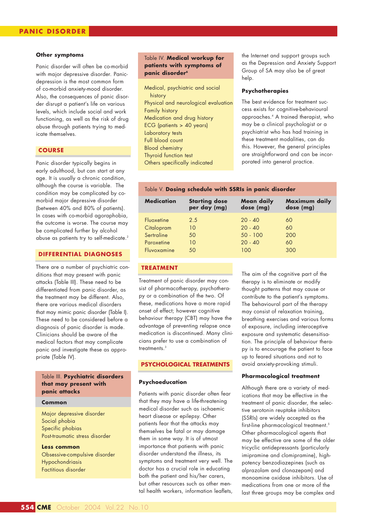#### **Other symptoms**

Panic disorder will often be co-morbid with major depressive disorder. Panicdepression is the most common form of co-morbid anxiety-mood disorder. Also, the consequences of panic disorder disrupt a patient's life on various levels, which include social and work functioning, as well as the risk of drug abuse through patients trying to medicate themselves.

## **COURSE**

Panic disorder typically begins in early adulthood, but can start at any age. It is usually a chronic condition, although the course is variable. The condition may be complicated by comorbid major depressive disorder (between 40% and 80% of patients). In cases with co-morbid agoraphobia, the outcome is worse. The course may be complicated further by alcohol abuse as patients try to self-medicate.<sup>2</sup>

## **DIFFERENTIAL DIAGNOSES**

There are a number of psychiatric conditions that may present with panic attacks (Table III). These need to be differentiated from panic disorder, as the treatment may be different. Also, there are various medical disorders that may mimic panic disorder (Table I). These need to be considered before a diagnosis of panic disorder is made. Clinicians should be aware of the medical factors that may complicate panic and investigate these as appropriate (Table IV).

## Table III. **Psychiatric disorders that may present with panic attacks**

#### **Common**

Major depressive disorder Social phobia Specific phobias Post-traumatic stress disorder

**Less common** Obsessive-compulsive disorder Hypochondriasis Factitious disorder

## Table IV. **Medical workup for patients with symptoms of panic disorder<sup>6</sup>**

Medical, psychiatric and social history Physical and neurological evaluation Family history Medication and drug history ECG (patients > 40 years) Laboratory tests Full blood count Blood chemistry Thyroid function test Others specifically indicated

the Internet and support groups such as the Depression and Anxiety Support Group of SA may also be of great help.

#### **Psychotherapies**

The best evidence for treatment success exists for cognitive-behavioural approaches.4 A trained therapist, who may be a clinical psychologist or a psychiatrist who has had training in these treatment modalities, can do this. However, the general principles are straightforward and can be incorporated into general practice.

#### Table V. **Dosing schedule with SSRIs in panic disorder**

| <b>Medication</b> | <b>Starting dose</b> | <b>Mean daily</b> | Maximum daily |
|-------------------|----------------------|-------------------|---------------|
|                   | per day (mg)         | dose (mg)         | dose (mg)     |
| Fluoxetine        | 2.5                  | $20 - 40$         | 60            |
| Citalopram        | 10                   | $20 - 40$         | 60            |
| Sertraline        | 50                   | $50 - 100$        | 200           |
| Paroxetine        | 10                   | $20 - 40$         | 60            |
| Fluvoxamine       | 50                   | 100               | 300           |

#### **TREATMENT**

Treatment of panic disorder may consist of pharmacotherapy, psychotherapy or a combination of the two. Of these, medications have a more rapid onset of effect; however cognitive behaviour therapy (CBT) may have the advantage of preventing relapse once medication is discontinued. Many clinicians prefer to use a combination of treatments.3

#### **PSYCHOLOGICAL TREATMENTS**

#### **Psychoeducation**

Patients with panic disorder often fear that they may have a life-threatening medical disorder such as ischaemic heart disease or epilepsy. Other patients fear that the attacks may themselves be fatal or may damage them in some way. It is of utmost importance that patients with panic disorder understand the illness, its symptoms and treatment very well. The doctor has a crucial role in educating both the patient and his/her carers, but other resources such as other mental health workers, information leaflets,

The aim of the cognitive part of the therapy is to eliminate or modify thought patterns that may cause or contribute to the patient's symptoms. The behavioural part of the therapy may consist of relaxation training, breathing exercises and various forms of exposure, including interoceptive exposure and systematic desensitisation. The principle of behaviour therapy is to encourage the patient to face up to feared situations and not to avoid anxiety-provoking stimuli.

#### **Pharmacological treatment**

Although there are a variety of medications that may be effective in the treatment of panic disorder, the selective serotonin reuptake inhibitors (SSRIs) are widely accepted as the first-line pharmacological treatment.<sup>5</sup> Other pharmacological agents that may be effective are some of the older tricyclic antidepressants (particularly imipramine and clomipramine), highpotency benzodiazepines (such as alprazolam and clonazepam) and monoamine oxidase inhibitors. Use of medications from one or more of the last three groups may be complex and